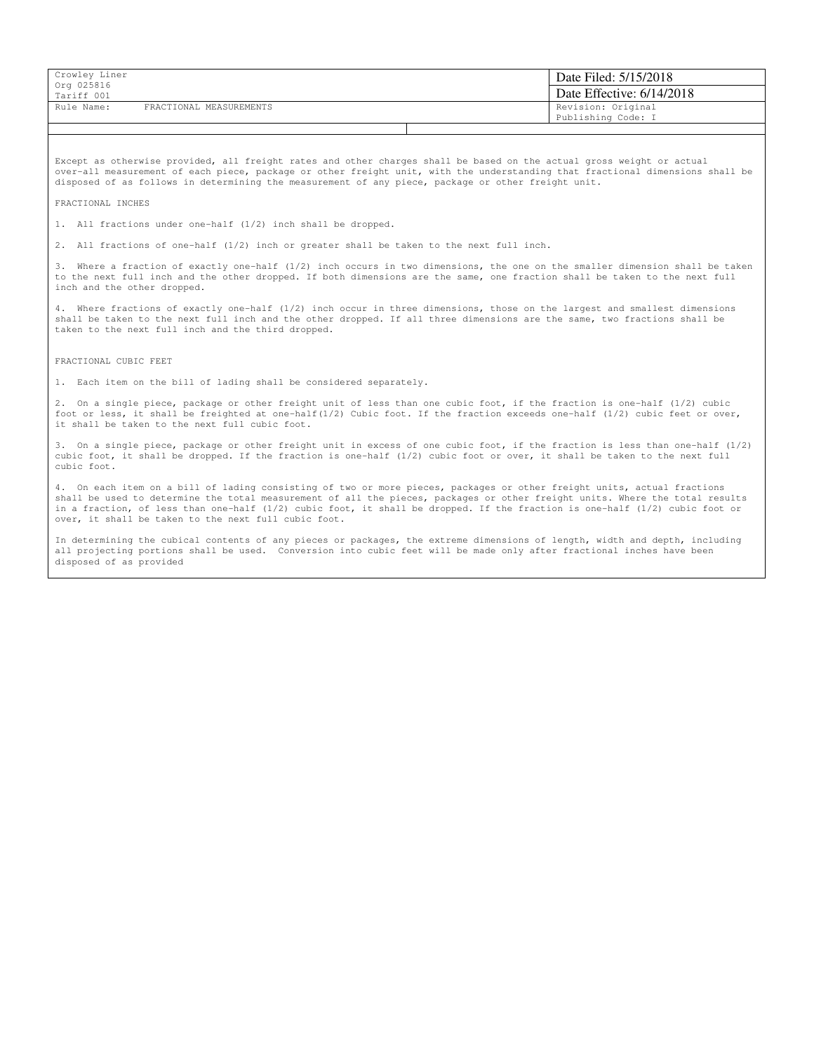| Crowley Liner<br>Org 025816 |                         |  | Date Filed: 5/15/2018     |
|-----------------------------|-------------------------|--|---------------------------|
| Tariff 001                  |                         |  | Date Effective: 6/14/2018 |
| Rule Name:                  | FRACTIONAL MEASUREMENTS |  | Revision: Original        |
|                             |                         |  | Publishing Code: I        |

Except as otherwise provided, all freight rates and other charges shall be based on the actual gross weight or actual over-all measurement of each piece, package or other freight unit, with the understanding that fractional dimensions shall be disposed of as follows in determining the measurement of any piece, package or other freight unit.

## FRACTIONAL INCHES

1. All fractions under one-half (1/2) inch shall be dropped.

2. All fractions of one-half (1/2) inch or greater shall be taken to the next full inch.

Where a fraction of exactly one-half (1/2) inch occurs in two dimensions, the one on the smaller dimension shall be taken to the next full inch and the other dropped. If both dimensions are the same, one fraction shall be taken to the next full inch and the other dropped.

Where fractions of exactly one-half (1/2) inch occur in three dimensions, those on the largest and smallest dimensions shall be taken to the next full inch and the other dropped. If all three dimensions are the same, two fractions shall be taken to the next full inch and the third dropped.

FRACTIONAL CUBIC FEET

1. Each item on the bill of lading shall be considered separately.

2. On a single piece, package or other freight unit of less than one cubic foot, if the fraction is one-half (1/2) cubic foot or less, it shall be freighted at one-half(1/2) Cubic foot. If the fraction exceeds one-half (1/2) cubic feet or over, it shall be taken to the next full cubic foot.

3. On a single piece, package or other freight unit in excess of one cubic foot, if the fraction is less than one-half (1/2) cubic foot, it shall be dropped. If the fraction is one-half (1/2) cubic foot or over, it shall be taken to the next full cubic foot.

4. On each item on a bill of lading consisting of two or more pieces, packages or other freight units, actual fractions shall be used to determine the total measurement of all the pieces, packages or other freight units. Where the total results in a fraction, of less than one-half (1/2) cubic foot, it shall be dropped. If the fraction is one-half (1/2) cubic foot or over, it shall be taken to the next full cubic foot.

In determining the cubical contents of any pieces or packages, the extreme dimensions of length, width and depth, including all projecting portions shall be used. Conversion into cubic feet will be made only after fractional inches have been disposed of as provided